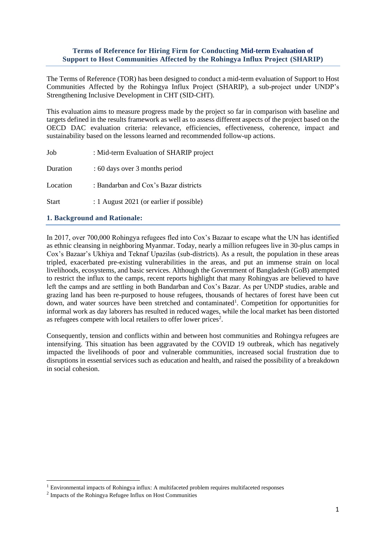## **Terms of Reference for Hiring Firm for Conducting Mid-term Evaluation of Support to Host Communities Affected by the Rohingya Influx Project (SHARIP)**

The Terms of Reference (TOR) has been designed to conduct a mid-term evaluation of Support to Host Communities Affected by the Rohingya Influx Project (SHARIP), a sub-project under UNDP's Strengthening Inclusive Development in CHT (SID-CHT).

This evaluation aims to measure progress made by the project so far in comparison with baseline and targets defined in the results framework as well as to assess different aspects of the project based on the OECD DAC evaluation criteria: relevance, efficiencies, effectiveness, coherence, impact and sustainability based on the lessons learned and recommended follow-up actions.

| : Mid-term Evaluation of SHARIP project  |
|------------------------------------------|
| : 60 days over 3 months period           |
| : Bandarban and Cox's Bazar districts    |
| : 1 August 2021 (or earlier if possible) |
|                                          |

## **1. Background and Rationale:**

In 2017, over 700,000 Rohingya refugees fled into Cox's Bazaar to escape what the UN has identified as ethnic cleansing in neighboring Myanmar. Today, nearly a million refugees live in 30-plus camps in Cox's Bazaar's Ukhiya and Teknaf Upazilas (sub-districts). As a result, the population in these areas tripled, exacerbated pre-existing vulnerabilities in the areas, and put an immense strain on local livelihoods, ecosystems, and basic services. Although the Government of Bangladesh (GoB) attempted to restrict the influx to the camps, recent reports highlight that many Rohingyas are believed to have left the camps and are settling in both Bandarban and Cox's Bazar. As per UNDP studies, arable and grazing land has been re-purposed to house refugees, thousands of hectares of forest have been cut down, and water sources have been stretched and contaminated<sup>1</sup>. Competition for opportunities for informal work as day laborers has resulted in reduced wages, while the local market has been distorted as refugees compete with local retailers to offer lower prices<sup>2</sup>.

Consequently, tension and conflicts within and between host communities and Rohingya refugees are intensifying. This situation has been aggravated by the COVID 19 outbreak, which has negatively impacted the livelihoods of poor and vulnerable communities, increased social frustration due to disruptions in essential services such as education and health, and raised the possibility of a breakdown in social cohesion.

<sup>&</sup>lt;sup>1</sup> Environmental impacts of Rohingya influx: A multifaceted problem requires multifaceted responses

<sup>&</sup>lt;sup>2</sup> Impacts of the Rohingya Refugee Influx on Host Communities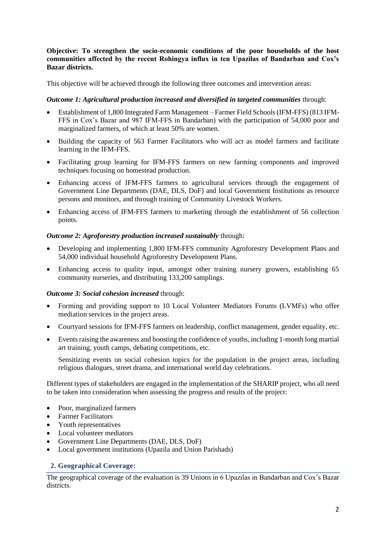## **Objective: To strengthen the socio-economic conditions of the poor households of the host communities affected by the recent Rohingya influx in ten Upazilas of Bandarban and Cox's Bazar districts.**

This objective will be achieved through the following three outcomes and intervention areas:

### *Outcome 1: Agricultural production increased and diversified in targeted communities* through:

- Establishment of 1,800 Integrated Farm Management Farmer Field Schools (IFM-FFS) (813 IFM-FFS in Cox's Bazar and 987 IFM-FFS in Bandarban) with the participation of 54,000 poor and marginalized farmers, of which at least 50% are women.
- Building the capacity of 563 Farmer Facilitators who will act as model farmers and facilitate learning in the IFM-FFS.
- Facilitating group learning for IFM-FFS farmers on new farming components and improved techniques focusing on homestead production.
- Enhancing access of IFM-FFS farmers to agricultural services through the engagement of Government Line Departments (DAE, DLS, DoF) and local Government Institutions as resource persons and monitors, and through training of Community Livestock Workers.
- Enhancing access of IFM-FFS farmers to marketing through the establishment of 56 collection points.

### *Outcome 2: Agroforestry production increased sustainably* through:

- Developing and implementing 1,800 IFM-FFS community Agroforestry Development Plans and 54,000 individual household Agroforestry Development Plans.
- Enhancing access to quality input, amongst other training nursery growers, establishing 65 community nurseries, and distributing 133,200 samplings.

#### *Outcome 3: Social cohesion increased* through:

- Forming and providing support to 10 Local Volunteer Mediators Forums (LVMFs) who offer mediation services in the project areas.
- Courtyard sessions for IFM-FFS farmers on leadership, conflict management, gender equality, etc.
- Events raising the awareness and boosting the confidence of youths, including 1-month long martial art training, youth camps, debating competitions, etc.

Sensitizing events on social cohesion topics for the population in the project areas, including religious dialogues, street drama, and international world day celebrations.

Different types of stakeholders are engaged in the implementation of the SHARIP project, who all need to be taken into consideration when assessing the progress and results of the project:

- Poor, marginalized farmers
- Farmer Facilitators
- Youth representatives
- Local volunteer mediators
- Government Line Departments (DAE, DLS, DoF)
- Local government institutions (Upazila and Union Parishads)

## **2. Geographical Coverage:**

The geographical coverage of the evaluation is 39 Unions in 6 Upazilas in Bandarban and Cox's Bazar districts.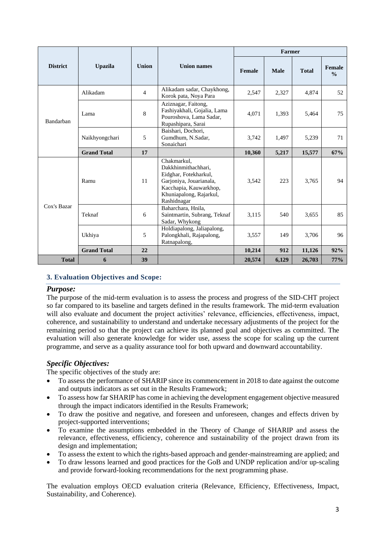|                 |                    |                |                                                                                                                                                            | Farmer |             |              |                         |  |  |
|-----------------|--------------------|----------------|------------------------------------------------------------------------------------------------------------------------------------------------------------|--------|-------------|--------------|-------------------------|--|--|
| <b>District</b> | <b>Upazila</b>     | <b>Union</b>   | <b>Union names</b>                                                                                                                                         | Female | <b>Male</b> | <b>Total</b> | Female<br>$\frac{0}{0}$ |  |  |
|                 | Alikadam           | $\overline{4}$ | Alikadam sadar, Chaykhong,<br>Korok pata, Noya Para                                                                                                        | 2,547  | 2,327       | 4,874        | 52                      |  |  |
| Bandarban       | Lama               | 8              | Aziznagar, Faitong,<br>Fashiyakhali, Gojalia, Lama<br>Pouroshova, Lama Sadar,<br>Rupashipara, Sarai                                                        | 4,071  | 1,393       | 5,464        | 75                      |  |  |
|                 | Naikhyongchari     | 5              | Baishari, Dochori,<br>Gumdhum, N.Sadar,<br>Sonaichari                                                                                                      | 3,742  | 1,497       | 5,239        | 71                      |  |  |
|                 | <b>Grand Total</b> | 17             |                                                                                                                                                            | 10,360 | 5,217       | 15,577       | 67%                     |  |  |
| Cox's Bazar     | Ramu               | 11             | Chakmarkul,<br>Dakkhinmithachhari,<br>Eidghar, Fotekharkul,<br>Garjoniya, Jouarianala,<br>Kacchapia, Kauwarkhop,<br>Khuniapalong, Rajarkul,<br>Rashidnagar | 3,542  | 223         | 3,765        | 94                      |  |  |
|                 | Teknaf             | 6              | Baharchara, Hnila,<br>Saintmartin, Subrang, Teknaf<br>Sadar, Whykong                                                                                       | 3,115  | 540         | 3,655        | 85                      |  |  |
|                 | Ukhiya             | 5              | Holdiapalong, Jaliapalong,<br>Palongkhali, Rajapalong,<br>Ratnapalong,                                                                                     | 3,557  | 149         | 3,706        | 96                      |  |  |
|                 | <b>Grand Total</b> | 22             |                                                                                                                                                            | 10,214 | 912         | 11,126       | 92%                     |  |  |
| <b>Total</b>    | 6                  | 39             |                                                                                                                                                            | 20,574 | 6,129       | 26,703       | 77%                     |  |  |

## **3. Evaluation Objectives and Scope:**

#### *Purpose:*

The purpose of the mid-term evaluation is to assess the process and progress of the SID-CHT project so far compared to its baseline and targets defined in the results framework. The mid-term evaluation will also evaluate and document the project activities' relevance, efficiencies, effectiveness, impact, coherence, and sustainability to understand and undertake necessary adjustments of the project for the remaining period so that the project can achieve its planned goal and objectives as committed. The evaluation will also generate knowledge for wider use, assess the scope for scaling up the current programme, and serve as a quality assurance tool for both upward and downward accountability.

## *Specific Objectives:*

The specific objectives of the study are:

- To assess the performance of SHARIP since its commencement in 2018 to date against the outcome and outputs indicators as set out in the Results Framework;
- To assess how far SHARIP has come in achieving the development engagement objective measured through the impact indicators identified in the Results Framework;
- To draw the positive and negative, and foreseen and unforeseen, changes and effects driven by project-supported interventions;
- To examine the assumptions embedded in the Theory of Change of SHARIP and assess the relevance, effectiveness, efficiency, coherence and sustainability of the project drawn from its design and implementation;
- To assess the extent to which the rights-based approach and gender-mainstreaming are applied; and
- To draw lessons learned and good practices for the GoB and UNDP replication and/or up-scaling and provide forward-looking recommendations for the next programming phase.

The evaluation employs OECD evaluation criteria (Relevance, Efficiency, Effectiveness, Impact, Sustainability, and Coherence).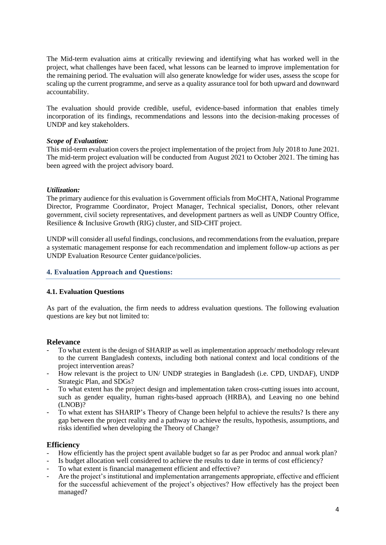The Mid-term evaluation aims at critically reviewing and identifying what has worked well in the project, what challenges have been faced, what lessons can be learned to improve implementation for the remaining period. The evaluation will also generate knowledge for wider uses, assess the scope for scaling up the current programme, and serve as a quality assurance tool for both upward and downward accountability.

The evaluation should provide credible, useful, evidence-based information that enables timely incorporation of its findings, recommendations and lessons into the decision-making processes of UNDP and key stakeholders.

### *Scope of Evaluation:*

This mid-term evaluation covers the project implementation of the project from July 2018 to June 2021. The mid-term project evaluation will be conducted from August 2021 to October 2021. The timing has been agreed with the project advisory board.

### *Utilization:*

The primary audience for this evaluation is Government officials from MoCHTA, National Programme Director, Programme Coordinator, Project Manager, Technical specialist, Donors, other relevant government, civil society representatives, and development partners as well as UNDP Country Office, Resilience & Inclusive Growth (RIG) cluster, and SID-CHT project.

UNDP will consider all useful findings, conclusions, and recommendations from the evaluation, prepare a systematic management response for each recommendation and implement follow-up actions as per UNDP Evaluation Resource Center guidance/policies.

## **4. Evaluation Approach and Questions:**

#### **4.1. Evaluation Questions**

As part of the evaluation, the firm needs to address evaluation questions. The following evaluation questions are key but not limited to:

#### **Relevance**

- To what extent is the design of SHARIP as well as implementation approach/ methodology relevant to the current Bangladesh contexts, including both national context and local conditions of the project intervention areas?
- How relevant is the project to UN/ UNDP strategies in Bangladesh (i.e. CPD, UNDAF), UNDP Strategic Plan, and SDGs?
- To what extent has the project design and implementation taken cross-cutting issues into account, such as gender equality, human rights-based approach (HRBA), and Leaving no one behind (LNOB)?
- To what extent has SHARIP's Theory of Change been helpful to achieve the results? Is there any gap between the project reality and a pathway to achieve the results, hypothesis, assumptions, and risks identified when developing the Theory of Change?

#### **Efficiency**

- How efficiently has the project spent available budget so far as per Prodoc and annual work plan?
- Is budget allocation well considered to achieve the results to date in terms of cost efficiency?
- To what extent is financial management efficient and effective?
- Are the project's institutional and implementation arrangements appropriate, effective and efficient for the successful achievement of the project's objectives? How effectively has the project been managed?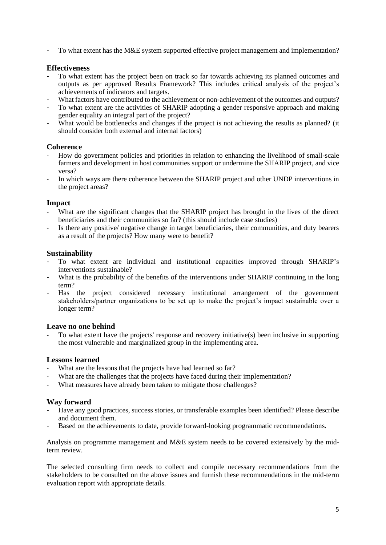To what extent has the M&E system supported effective project management and implementation?

## **Effectiveness**

- To what extent has the project been on track so far towards achieving its planned outcomes and outputs as per approved Results Framework? This includes critical analysis of the project's achievements of indicators and targets.
- What factors have contributed to the achievement or non-achievement of the outcomes and outputs?
- To what extent are the activities of SHARIP adopting a gender responsive approach and making gender equality an integral part of the project?
- What would be bottlenecks and changes if the project is not achieving the results as planned? (it should consider both external and internal factors)

### **Coherence**

- How do government policies and priorities in relation to enhancing the livelihood of small-scale farmers and development in host communities support or undermine the SHARIP project, and vice versa?
- In which ways are there coherence between the SHARIP project and other UNDP interventions in the project areas?

### **Impact**

- What are the significant changes that the SHARIP project has brought in the lives of the direct beneficiaries and their communities so far? (this should include case studies)
- Is there any positive/ negative change in target beneficiaries, their communities, and duty bearers as a result of the projects? How many were to benefit?

### **Sustainability**

- To what extent are individual and institutional capacities improved through SHARIP's interventions sustainable?
- What is the probability of the benefits of the interventions under SHARIP continuing in the long term?
- Has the project considered necessary institutional arrangement of the government stakeholders/partner organizations to be set up to make the project's impact sustainable over a longer term?

## **Leave no one behind**

To what extent have the projects' response and recovery initiative(s) been inclusive in supporting the most vulnerable and marginalized group in the implementing area.

## **Lessons learned**

- What are the lessons that the projects have had learned so far?
- What are the challenges that the projects have faced during their implementation?
- What measures have already been taken to mitigate those challenges?

## **Way forward**

- Have any good practices, success stories, or transferable examples been identified? Please describe and document them.
- Based on the achievements to date, provide forward-looking programmatic recommendations.

Analysis on programme management and M&E system needs to be covered extensively by the midterm review.

The selected consulting firm needs to collect and compile necessary recommendations from the stakeholders to be consulted on the above issues and furnish these recommendations in the mid-term evaluation report with appropriate details.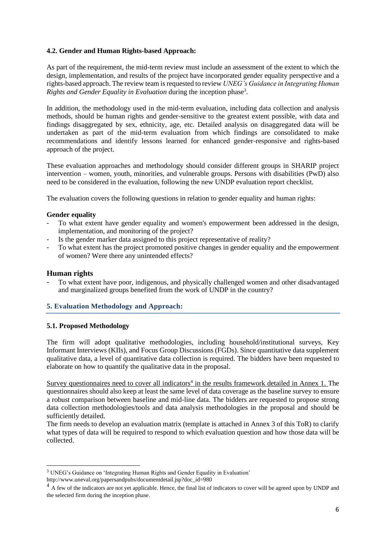## **4.2. Gender and Human Rights-based Approach:**

As part of the requirement, the mid-term review must include an assessment of the extent to which the design, implementation, and results of the project have incorporated gender equality perspective and a rights-based approach. The review team isrequested to review *UNEG's Guidance in Integrating Human*  Rights and Gender Equality in Evaluation during the inception phase<sup>3</sup>.

In addition, the methodology used in the mid-term evaluation, including data collection and analysis methods, should be human rights and gender-sensitive to the greatest extent possible, with data and findings disaggregated by sex, ethnicity, age, etc. Detailed analysis on disaggregated data will be undertaken as part of the mid-term evaluation from which findings are consolidated to make recommendations and identify lessons learned for enhanced gender-responsive and rights-based approach of the project.

These evaluation approaches and methodology should consider different groups in SHARIP project intervention – women, youth, minorities, and vulnerable groups. Persons with disabilities (PwD) also need to be considered in the evaluation, following the new UNDP evaluation report checklist.

The evaluation covers the following questions in relation to gender equality and human rights:

### **Gender equality**

- To what extent have gender equality and women's empowerment been addressed in the design, implementation, and monitoring of the project?
- Is the gender marker data assigned to this project representative of reality?
- To what extent has the project promoted positive changes in gender equality and the empowerment of women? Were there any unintended effects?

#### **Human rights**

- To what extent have poor, indigenous, and physically challenged women and other disadvantaged and marginalized groups benefited from the work of UNDP in the country?

## **5. Evaluation Methodology and Approach:**

#### **5.1. Proposed Methodology**

The firm will adopt qualitative methodologies, including household/institutional surveys, Key Informant Interviews (KIIs), and Focus Group Discussions (FGDs). Since quantitative data supplement qualitative data, a level of quantitative data collection is required. The bidders have been requested to elaborate on how to quantify the qualitative data in the proposal.

Survey questionnaires need to cover all indicators<sup>4</sup> in the results framework detailed in Annex 1. The questionnaires should also keep at least the same level of data coverage as the baseline survey to ensure a robust comparison between baseline and mid-line data. The bidders are requested to propose strong data collection methodologies/tools and data analysis methodologies in the proposal and should be sufficiently detailed.

The firm needs to develop an evaluation matrix (template is attached in Annex 3 of this ToR) to clarify what types of data will be required to respond to which evaluation question and how those data will be collected.

 $3$  UNEG's Guidance on 'Integrating Human Rights and Gender Equality in Evaluation'

http://www.uneval.org/papersandpubs/documentdetail.jsp?doc\_id=980

<sup>&</sup>lt;sup>4</sup> A few of the indicators are not yet applicable. Hence, the final list of indicators to cover will be agreed upon by UNDP and the selected firm during the inception phase.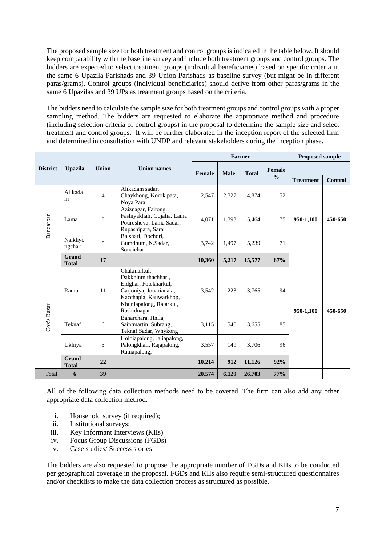The proposed sample size for both treatment and control groups is indicated in the table below. It should keep comparability with the baseline survey and include both treatment groups and control groups. The bidders are expected to select treatment groups (individual beneficiaries) based on specific criteria in the same 6 Upazila Parishads and 39 Union Parishads as baseline survey (but might be in different paras/grams). Control groups (individual beneficiaries) should derive from other paras/grams in the same 6 Upazilas and 39 UPs as treatment groups based on the criteria.

The bidders need to calculate the sample size for both treatment groups and control groups with a proper sampling method. The bidders are requested to elaborate the appropriate method and procedure (including selection criteria of control groups) in the proposal to determine the sample size and select treatment and control groups. It will be further elaborated in the inception report of the selected firm and determined in consultation with UNDP and relevant stakeholders during the inception phase.

|                             |                       |                |                                                                                                                                                            |        |             | Farmer       |               | <b>Proposed sample</b> |                |
|-----------------------------|-----------------------|----------------|------------------------------------------------------------------------------------------------------------------------------------------------------------|--------|-------------|--------------|---------------|------------------------|----------------|
| <b>District</b>             | <b>Upazila</b>        | <b>Union</b>   | <b>Union names</b>                                                                                                                                         | Female | <b>Male</b> | <b>Total</b> | Female        |                        |                |
|                             |                       |                |                                                                                                                                                            |        |             |              | $\frac{0}{0}$ | <b>Treatment</b>       | <b>Control</b> |
|                             | Alikada<br>m          | $\overline{4}$ | Alikadam sadar,<br>Chaykhong, Korok pata,<br>Nova Para                                                                                                     | 2,547  | 2,327       | 4,874        | 52            |                        |                |
| Bandarban                   | Lama                  | 8              | Aziznagar, Faitong,<br>Fashiyakhali, Gojalia, Lama<br>Pouroshova, Lama Sadar,<br>Rupashipara, Sarai                                                        | 4.071  | 1.393       | 5,464        | 75            | 950-1,100              | 450-650        |
|                             | Naikhyo<br>ngchari    | 5              | Baishari, Dochori,<br>Gumdhum, N.Sadar,<br>Sonaichari                                                                                                      | 3,742  | 1,497       | 5,239        | 71            |                        |                |
|                             | Grand<br><b>Total</b> | 17             |                                                                                                                                                            | 10,360 | 5,217       | 15,577       | 67%           |                        |                |
|                             | Ramu                  | 11             | Chakmarkul,<br>Dakkhinmithachhari,<br>Eidghar, Fotekharkul,<br>Garjoniya, Jouarianala,<br>Kacchapia, Kauwarkhop,<br>Khuniapalong, Rajarkul,<br>Rashidnagar | 3,542  | 223         | 3,765        | 94            | 950-1,100              | 450-650        |
| Cox's Bazar                 | Teknaf<br>6           |                | Baharchara, Hnila,<br>Saintmartin, Subrang,<br>Teknaf Sadar, Whykong                                                                                       | 3,115  | 540         | 3,655        | 85            |                        |                |
|                             | Ukhiya                | 5              | Holdiapalong, Jaliapalong,<br>Palongkhali, Rajapalong,<br>Ratnapalong,                                                                                     | 3,557  | 149         | 3,706        | 96            |                        |                |
| Grand<br>22<br><b>Total</b> |                       | 10,214         | 912                                                                                                                                                        | 11,126 | 92%         |              |               |                        |                |
| Total                       | 6                     | 39             |                                                                                                                                                            | 20,574 | 6,129       | 26,703       | 77%           |                        |                |

All of the following data collection methods need to be covered. The firm can also add any other appropriate data collection method.

- i. Household survey (if required);
- ii. Institutional surveys;
- iii. Key Informant Interviews (KIIs)
- iv. Focus Group Discussions (FGDs)
- v. Case studies/ Success stories

The bidders are also requested to propose the appropriate number of FGDs and KIIs to be conducted per geographical coverage in the proposal. FGDs and KIIs also require semi-structured questionnaires and/or checklists to make the data collection process as structured as possible.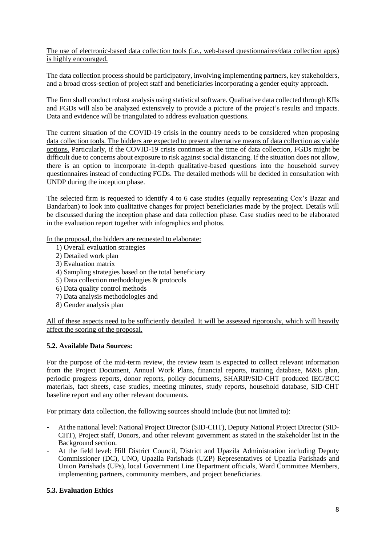The use of electronic-based data collection tools (i.e., web-based questionnaires/data collection apps) is highly encouraged.

The data collection process should be participatory, involving implementing partners, key stakeholders, and a broad cross-section of project staff and beneficiaries incorporating a gender equity approach.

The firm shall conduct robust analysis using statistical software. Qualitative data collected through KIIs and FGDs will also be analyzed extensively to provide a picture of the project's results and impacts. Data and evidence will be triangulated to address evaluation questions.

The current situation of the COVID-19 crisis in the country needs to be considered when proposing data collection tools. The bidders are expected to present alternative means of data collection as viable options. Particularly, if the COVID-19 crisis continues at the time of data collection, FGDs might be difficult due to concerns about exposure to risk against social distancing. If the situation does not allow, there is an option to incorporate in-depth qualitative-based questions into the household survey questionnaires instead of conducting FGDs. The detailed methods will be decided in consultation with UNDP during the inception phase.

The selected firm is requested to identify 4 to 6 case studies (equally representing Cox's Bazar and Bandarban) to look into qualitative changes for project beneficiaries made by the project. Details will be discussed during the inception phase and data collection phase. Case studies need to be elaborated in the evaluation report together with infographics and photos.

In the proposal, the bidders are requested to elaborate:

- 1) Overall evaluation strategies
- 2) Detailed work plan
- 3) Evaluation matrix
- 4) Sampling strategies based on the total beneficiary
- 5) Data collection methodologies & protocols
- 6) Data quality control methods
- 7) Data analysis methodologies and
- 8) Gender analysis plan

All of these aspects need to be sufficiently detailed. It will be assessed rigorously, which will heavily affect the scoring of the proposal.

#### **5.2. Available Data Sources:**

For the purpose of the mid-term review, the review team is expected to collect relevant information from the Project Document, Annual Work Plans, financial reports, training database, M&E plan, periodic progress reports, donor reports, policy documents, SHARIP/SID-CHT produced IEC/BCC materials, fact sheets, case studies, meeting minutes, study reports, household database, SID-CHT baseline report and any other relevant documents.

For primary data collection, the following sources should include (but not limited to):

- At the national level: National Project Director (SID-CHT), Deputy National Project Director (SID-CHT), Project staff, Donors, and other relevant government as stated in the stakeholder list in the Background section.
- At the field level: Hill District Council, District and Upazila Administration including Deputy Commissioner (DC), UNO, Upazila Parishads (UZP) Representatives of Upazila Parishads and Union Parishads (UPs), local Government Line Department officials, Ward Committee Members, implementing partners, community members, and project beneficiaries.

#### **5.3. Evaluation Ethics**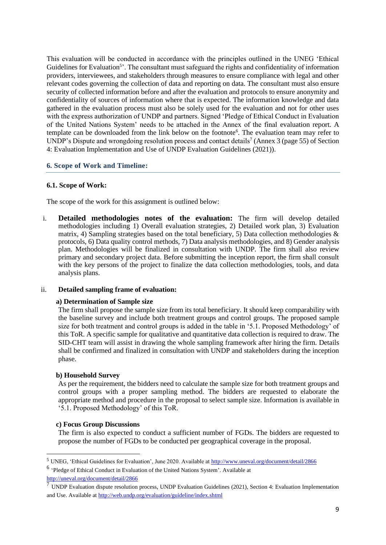This evaluation will be conducted in accordance with the principles outlined in the UNEG 'Ethical Guidelines for Evaluation<sup>5</sup>'. The consultant must safeguard the rights and confidentiality of information providers, interviewees, and stakeholders through measures to ensure compliance with legal and other relevant codes governing the collection of data and reporting on data. The consultant must also ensure security of collected information before and after the evaluation and protocols to ensure anonymity and confidentiality of sources of information where that is expected. The information knowledge and data gathered in the evaluation process must also be solely used for the evaluation and not for other uses with the express authorization of UNDP and partners. Signed 'Pledge of Ethical Conduct in Evaluation of the United Nations System' needs to be attached in the Annex of the final evaluation report. A template can be downloaded from the link below on the footnote<sup>6</sup>. The evaluation team may refer to UNDP's Dispute and wrongdoing resolution process and contact details<sup>7</sup> (Annex 3 (page 55) of Section 4: Evaluation Implementation and Use of UNDP Evaluation Guidelines (2021)).

#### **6. Scope of Work and Timeline:**

### **6.1. Scope of Work:**

The scope of the work for this assignment is outlined below:

i. **Detailed methodologies notes of the evaluation:** The firm will develop detailed methodologies including 1) Overall evaluation strategies, 2) Detailed work plan, 3) Evaluation matrix, 4) Sampling strategies based on the total beneficiary, 5) Data collection methodologies  $\&$ protocols, 6) Data quality control methods, 7) Data analysis methodologies, and 8) Gender analysis plan. Methodologies will be finalized in consultation with UNDP. The firm shall also review primary and secondary project data. Before submitting the inception report, the firm shall consult with the key persons of the project to finalize the data collection methodologies, tools, and data analysis plans.

#### ii. **Detailed sampling frame of evaluation:**

#### **a) Determination of Sample size**

The firm shall propose the sample size from its total beneficiary. It should keep comparability with the baseline survey and include both treatment groups and control groups. The proposed sample size for both treatment and control groups is added in the table in '5.1. Proposed Methodology' of this ToR. A specific sample for qualitative and quantitative data collection is required to draw. The SID-CHT team will assist in drawing the whole sampling framework after hiring the firm. Details shall be confirmed and finalized in consultation with UNDP and stakeholders during the inception phase.

#### **b) Household Survey**

As per the requirement, the bidders need to calculate the sample size for both treatment groups and control groups with a proper sampling method. The bidders are requested to elaborate the appropriate method and procedure in the proposal to select sample size. Information is available in '5.1. Proposed Methodology' of this ToR.

#### **c) Focus Group Discussions**

The firm is also expected to conduct a sufficient number of FGDs. The bidders are requested to propose the number of FGDs to be conducted per geographical coverage in the proposal.

6 'Pledge of Ethical Conduct in Evaluation of the United Nations System'. Available at <http://uneval.org/document/detail/2866>

<sup>5</sup> UNEG, 'Ethical Guidelines for Evaluation', June 2020. Available at<http://www.uneval.org/document/detail/2866>

<sup>7</sup> UNDP Evaluation dispute resolution process, UNDP Evaluation Guidelines (2021), Section 4: Evaluation Implementation and Use. Available a[t http://web.undp.org/evaluation/guideline/index.shtml](http://web.undp.org/evaluation/guideline/index.shtml)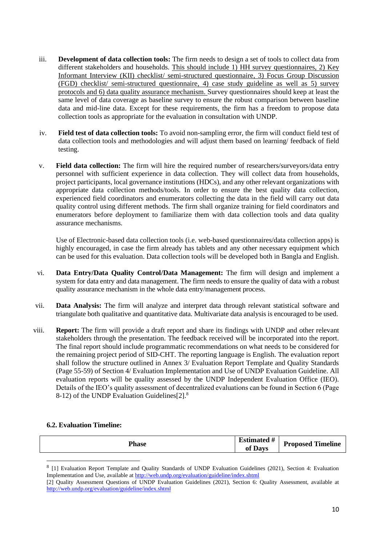- iii. **Development of data collection tools:** The firm needs to design a set of tools to collect data from different stakeholders and households. This should include 1) HH survey questionnaires, 2) Key Informant Interview (KII) checklist/ semi-structured questionnaire, 3) Focus Group Discussion (FGD) checklist/ semi-structured questionnaire, 4) case study guideline as well as 5) survey protocols and 6) data quality assurance mechanism. Survey questionnaires should keep at least the same level of data coverage as baseline survey to ensure the robust comparison between baseline data and mid-line data. Except for these requirements, the firm has a freedom to propose data collection tools as appropriate for the evaluation in consultation with UNDP.
- iv. **Field test of data collection tools:** To avoid non-sampling error, the firm will conduct field test of data collection tools and methodologies and will adjust them based on learning/ feedback of field testing.
- v. **Field data collection:** The firm will hire the required number of researchers/surveyors/data entry personnel with sufficient experience in data collection. They will collect data from households, project participants, local governance institutions (HDCs), and any other relevant organizations with appropriate data collection methods/tools. In order to ensure the best quality data collection, experienced field coordinators and enumerators collecting the data in the field will carry out data quality control using different methods. The firm shall organize training for field coordinators and enumerators before deployment to familiarize them with data collection tools and data quality assurance mechanisms.

Use of Electronic-based data collection tools (i.e. web-based questionnaires/data collection apps) is highly encouraged, in case the firm already has tablets and any other necessary equipment which can be used for this evaluation. Data collection tools will be developed both in Bangla and English.

- vi. **Data Entry/Data Quality Control/Data Management:** The firm will design and implement a system for data entry and data management. The firm needs to ensure the quality of data with a robust quality assurance mechanism in the whole data entry/management process.
- vii. **Data Analysis:** The firm will analyze and interpret data through relevant statistical software and triangulate both qualitative and quantitative data. Multivariate data analysis is encouraged to be used.
- viii. **Report:** The firm will provide a draft report and share its findings with UNDP and other relevant stakeholders through the presentation. The feedback received will be incorporated into the report. The final report should include programmatic recommendations on what needs to be considered for the remaining project period of SID-CHT. The reporting language is English. The evaluation report shall follow the structure outlined in Annex 3/ Evaluation Report Template and Quality Standards (Page 55-59) of Section 4/ Evaluation Implementation and Use of UNDP Evaluation Guideline. All evaluation reports will be quality assessed by the UNDP Independent Evaluation Office (IEO). Details of the IEO's quality assessment of decentralized evaluations can be found in Section 6 (Page 8-12) of the UNDP Evaluation Guidelines[2].<sup>8</sup>

#### **6.2. Evaluation Timeline:**

|--|

<sup>&</sup>lt;sup>8</sup> [1] Evaluation Report Template and Quality Standards of UNDP Evaluation Guidelines (2021), Section 4: Evaluation Implementation and Use, available a[t http://web.undp.org/evaluation/guideline/index.shtml](http://web.undp.org/evaluation/guideline/index.shtml)

<sup>[2]</sup> Quality Assessment Questions of UNDP Evaluation Guidelines (2021), Section 6: Quality Assessment, available at <http://web.undp.org/evaluation/guideline/index.shtml>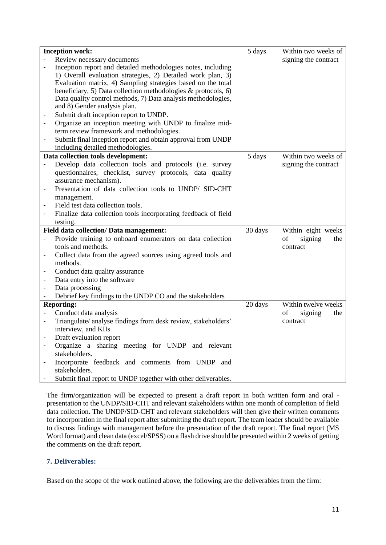|                              | <b>Inception work:</b>                                         | 5 days  | Within two weeks of  |
|------------------------------|----------------------------------------------------------------|---------|----------------------|
|                              | Review necessary documents                                     |         | signing the contract |
|                              | Inception report and detailed methodologies notes, including   |         |                      |
|                              | 1) Overall evaluation strategies, 2) Detailed work plan, 3)    |         |                      |
|                              | Evaluation matrix, 4) Sampling strategies based on the total   |         |                      |
|                              | beneficiary, 5) Data collection methodologies & protocols, 6)  |         |                      |
|                              | Data quality control methods, 7) Data analysis methodologies,  |         |                      |
|                              | and 8) Gender analysis plan.                                   |         |                      |
|                              | Submit draft inception report to UNDP.                         |         |                      |
| $\qquad \qquad \blacksquare$ | Organize an inception meeting with UNDP to finalize mid-       |         |                      |
|                              | term review framework and methodologies.                       |         |                      |
| $\qquad \qquad \blacksquare$ | Submit final inception report and obtain approval from UNDP    |         |                      |
|                              | including detailed methodologies.                              |         |                      |
|                              | Data collection tools development:                             | 5 days  | Within two weeks of  |
| $\overline{\phantom{a}}$     | Develop data collection tools and protocols (i.e. survey       |         | signing the contract |
|                              | questionnaires, checklist, survey protocols, data quality      |         |                      |
|                              | assurance mechanism).                                          |         |                      |
|                              | Presentation of data collection tools to UNDP/ SID-CHT         |         |                      |
|                              | management.                                                    |         |                      |
| $\qquad \qquad \blacksquare$ | Field test data collection tools.                              |         |                      |
| $\qquad \qquad \blacksquare$ | Finalize data collection tools incorporating feedback of field |         |                      |
|                              | testing.                                                       |         |                      |
|                              | Field data collection/ Data management:                        | 30 days | Within eight weeks   |
|                              | Provide training to onboard enumerators on data collection     |         | of<br>signing<br>the |
|                              | tools and methods.                                             |         | contract             |
| $\qquad \qquad \blacksquare$ | Collect data from the agreed sources using agreed tools and    |         |                      |
|                              | methods.                                                       |         |                      |
| $\qquad \qquad \blacksquare$ | Conduct data quality assurance                                 |         |                      |
| $\qquad \qquad \blacksquare$ | Data entry into the software                                   |         |                      |
|                              | Data processing                                                |         |                      |
|                              | Debrief key findings to the UNDP CO and the stakeholders       |         |                      |
|                              | <b>Reporting:</b>                                              | 20 days | Within twelve weeks  |
| $\overline{\phantom{a}}$     | Conduct data analysis                                          |         | of<br>signing<br>the |
| $\frac{1}{2}$                | Triangulate/ analyse findings from desk review, stakeholders'  |         | contract             |
|                              | interview, and KIIs                                            |         |                      |
| $\overline{\phantom{a}}$     | Draft evaluation report                                        |         |                      |
| $\qquad \qquad \blacksquare$ | Organize a sharing meeting for UNDP and relevant               |         |                      |
|                              | stakeholders.                                                  |         |                      |
| $\qquad \qquad \blacksquare$ | Incorporate feedback and comments from UNDP and                |         |                      |
|                              | stakeholders.                                                  |         |                      |
|                              | Submit final report to UNDP together with other deliverables.  |         |                      |

The firm/organization will be expected to present a draft report in both written form and oral presentation to the UNDP/SID-CHT and relevant stakeholders within one month of completion of field data collection. The UNDP/SID-CHT and relevant stakeholders will then give their written comments for incorporation in the final report after submitting the draft report. The team leader should be available to discuss findings with management before the presentation of the draft report. The final report (MS Word format) and clean data (excel/SPSS) on a flash drive should be presented within 2 weeks of getting the comments on the draft report.

#### **7. Deliverables:**

Based on the scope of the work outlined above, the following are the deliverables from the firm: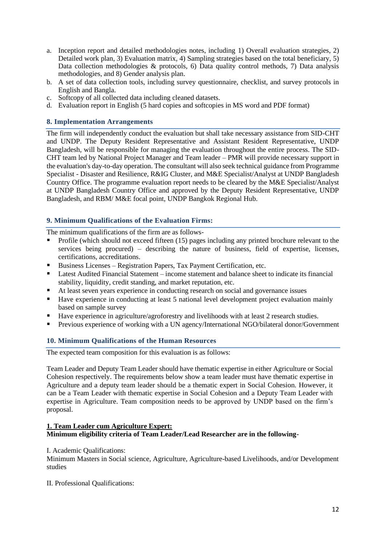- a. Inception report and detailed methodologies notes, including 1) Overall evaluation strategies, 2) Detailed work plan, 3) Evaluation matrix, 4) Sampling strategies based on the total beneficiary, 5) Data collection methodologies & protocols, 6) Data quality control methods, 7) Data analysis methodologies, and 8) Gender analysis plan.
- b. A set of data collection tools, including survey questionnaire, checklist, and survey protocols in English and Bangla.
- c. Softcopy of all collected data including cleaned datasets.
- d. Evaluation report in English (5 hard copies and softcopies in MS word and PDF format)

### **8. Implementation Arrangements**

The firm will independently conduct the evaluation but shall take necessary assistance from SID-CHT and UNDP. The Deputy Resident Representative and Assistant Resident Representative, UNDP Bangladesh, will be responsible for managing the evaluation throughout the entire process. The SID-CHT team led by National Project Manager and Team leader – PMR will provide necessary support in the evaluation's day-to-day operation. The consultant will also seek technical guidance from Programme Specialist - Disaster and Resilience, R&IG Cluster, and M&E Specialist/Analyst at UNDP Bangladesh Country Office. The programme evaluation report needs to be cleared by the M&E Specialist/Analyst at UNDP Bangladesh Country Office and approved by the Deputy Resident Representative, UNDP Bangladesh, and RBM/ M&E focal point, UNDP Bangkok Regional Hub.

## **9. Minimum Qualifications of the Evaluation Firms:**

The minimum qualifications of the firm are as follows-

- Profile (which should not exceed fifteen (15) pages including any printed brochure relevant to the services being procured) – describing the nature of business, field of expertise, licenses, certifications, accreditations.
- Business Licenses Registration Papers, Tax Payment Certification, etc.
- Latest Audited Financial Statement income statement and balance sheet to indicate its financial stability, liquidity, credit standing, and market reputation, etc.
- At least seven years experience in conducting research on social and governance issues
- Have experience in conducting at least 5 national level development project evaluation mainly based on sample survey
- Have experience in agriculture/agroforestry and livelihoods with at least 2 research studies.
- Previous experience of working with a UN agency/International NGO/bilateral donor/Government

## **10. Minimum Qualifications of the Human Resources**

The expected team composition for this evaluation is as follows:

Team Leader and Deputy Team Leader should have thematic expertise in either Agriculture or Social Cohesion respectively. The requirements below show a team leader must have thematic expertise in Agriculture and a deputy team leader should be a thematic expert in Social Cohesion. However, it can be a Team Leader with thematic expertise in Social Cohesion and a Deputy Team Leader with expertise in Agriculture. Team composition needs to be approved by UNDP based on the firm's proposal.

#### **1. Team Leader cum Agriculture Expert: Minimum eligibility criteria of Team Leader/Lead Researcher are in the following-**

#### I. Academic Qualifications:

Minimum Masters in Social science, Agriculture, Agriculture-based Livelihoods, and/or Development studies

II. Professional Qualifications: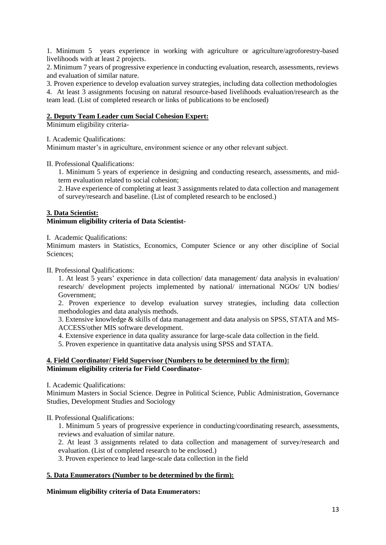1. Minimum 5 years experience in working with agriculture or agriculture/agroforestry-based livelihoods with at least 2 projects.

2. Minimum 7 years of progressive experience in conducting evaluation, research, assessments, reviews and evaluation of similar nature.

3. Proven experience to develop evaluation survey strategies, including data collection methodologies

4. At least 3 assignments focusing on natural resource-based livelihoods evaluation/research as the team lead. (List of completed research or links of publications to be enclosed)

#### **2. Deputy Team Leader cum Social Cohesion Expert:**

Minimum eligibility criteria-

I. Academic Qualifications:

Minimum master's in agriculture, environment science or any other relevant subject.

II. Professional Qualifications:

1. Minimum 5 years of experience in designing and conducting research, assessments, and midterm evaluation related to social cohesion;

2. Have experience of completing at least 3 assignments related to data collection and management of survey/research and baseline. (List of completed research to be enclosed.)

## **3. Data Scientist: Minimum eligibility criteria of Data Scientist-**

I. Academic Qualifications:

Minimum masters in Statistics, Economics, Computer Science or any other discipline of Social Sciences;

II. Professional Qualifications:

1. At least 5 years' experience in data collection/ data management/ data analysis in evaluation/ research/ development projects implemented by national/ international NGOs/ UN bodies/ Government;

2. Proven experience to develop evaluation survey strategies, including data collection methodologies and data analysis methods.

3. Extensive knowledge & skills of data management and data analysis on SPSS, STATA and MS-ACCESS/other MIS software development.

4. Extensive experience in data quality assurance for large-scale data collection in the field.

5. Proven experience in quantitative data analysis using SPSS and STATA.

## **4. Field Coordinator/ Field Supervisor (Numbers to be determined by the firm): Minimum eligibility criteria for Field Coordinator-**

I. Academic Qualifications:

Minimum Masters in Social Science. Degree in Political Science, Public Administration, Governance Studies, Development Studies and Sociology

II. Professional Qualifications:

1. Minimum 5 years of progressive experience in conducting/coordinating research, assessments, reviews and evaluation of similar nature.

2. At least 3 assignments related to data collection and management of survey/research and evaluation. (List of completed research to be enclosed.)

3. Proven experience to lead large-scale data collection in the field

## **5. Data Enumerators (Number to be determined by the firm):**

## **Minimum eligibility criteria of Data Enumerators:**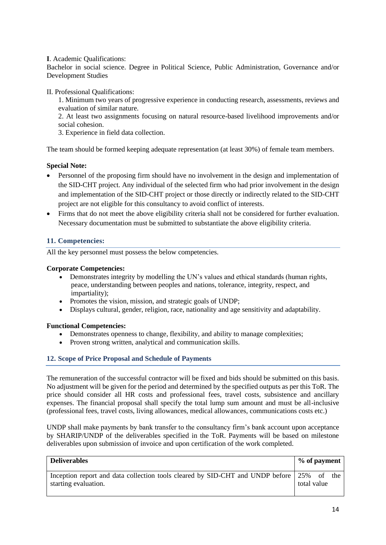**I**. Academic Qualifications:

Bachelor in social science. Degree in Political Science, Public Administration, Governance and/or Development Studies

II. Professional Qualifications:

1. Minimum two years of progressive experience in conducting research, assessments, reviews and evaluation of similar nature.

2. At least two assignments focusing on natural resource-based livelihood improvements and/or social cohesion.

3. Experience in field data collection.

The team should be formed keeping adequate representation (at least 30%) of female team members.

### **Special Note:**

- Personnel of the proposing firm should have no involvement in the design and implementation of the SID-CHT project. Any individual of the selected firm who had prior involvement in the design and implementation of the SID-CHT project or those directly or indirectly related to the SID-CHT project are not eligible for this consultancy to avoid conflict of interests.
- Firms that do not meet the above eligibility criteria shall not be considered for further evaluation. Necessary documentation must be submitted to substantiate the above eligibility criteria.

## **11. Competencies:**

All the key personnel must possess the below competencies.

#### **Corporate Competencies:**

- Demonstrates integrity by modelling the UN's values and ethical standards (human rights, peace, understanding between peoples and nations, tolerance, integrity, respect, and impartiality);
- Promotes the vision, mission, and strategic goals of UNDP;
- Displays cultural, gender, religion, race, nationality and age sensitivity and adaptability.

#### **Functional Competencies:**

- Demonstrates openness to change, flexibility, and ability to manage complexities;
- Proven strong written, analytical and communication skills.

#### **12. Scope of Price Proposal and Schedule of Payments**

The remuneration of the successful contractor will be fixed and bids should be submitted on this basis. No adjustment will be given for the period and determined by the specified outputs as per this ToR. The price should consider all HR costs and professional fees, travel costs, subsistence and ancillary expenses. The financial proposal shall specify the total lump sum amount and must be all-inclusive (professional fees, travel costs, living allowances, medical allowances, communications costs etc.)

UNDP shall make payments by bank transfer to the consultancy firm's bank account upon acceptance by SHARIP/UNDP of the deliverables specified in the ToR. Payments will be based on milestone deliverables upon submission of invoice and upon certification of the work completed.

| <b>Deliverables</b>                                                                                              | % of payment |  |
|------------------------------------------------------------------------------------------------------------------|--------------|--|
| Inception report and data collection tools cleared by SID-CHT and UNDP before 25% of the<br>starting evaluation. | total value  |  |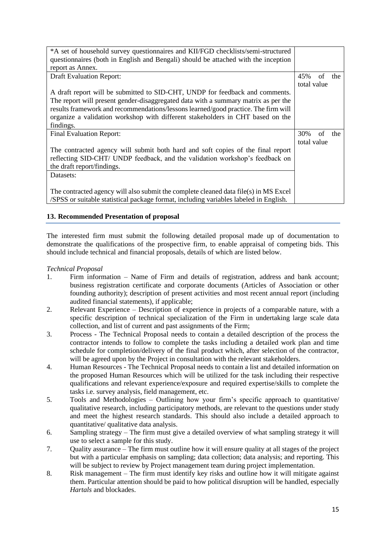| *A set of household survey questionnaires and KII/FGD checklists/semi-structured      |             |    |     |
|---------------------------------------------------------------------------------------|-------------|----|-----|
| questionnaires (both in English and Bengali) should be attached with the inception    |             |    |     |
| report as Annex.                                                                      |             |    |     |
| <b>Draft Evaluation Report:</b>                                                       | 45%         | of | the |
|                                                                                       | total value |    |     |
| A draft report will be submitted to SID-CHT, UNDP for feedback and comments.          |             |    |     |
| The report will present gender-disaggregated data with a summary matrix as per the    |             |    |     |
| results framework and recommendations/lessons learned/good practice. The firm will    |             |    |     |
| organize a validation workshop with different stakeholders in CHT based on the        |             |    |     |
| findings.                                                                             |             |    |     |
| Final Evaluation Report:                                                              | 30%         | of | the |
|                                                                                       | total value |    |     |
| The contracted agency will submit both hard and soft copies of the final report       |             |    |     |
| reflecting SID-CHT/ UNDP feedback, and the validation workshop's feedback on          |             |    |     |
| the draft report/findings.                                                            |             |    |     |
| Datasets:                                                                             |             |    |     |
|                                                                                       |             |    |     |
| The contracted agency will also submit the complete cleaned data file(s) in MS Excel  |             |    |     |
| /SPSS or suitable statistical package format, including variables labeled in English. |             |    |     |

## **13. Recommended Presentation of proposal**

The interested firm must submit the following detailed proposal made up of documentation to demonstrate the qualifications of the prospective firm, to enable appraisal of competing bids. This should include technical and financial proposals, details of which are listed below.

## *Technical Proposal*

- 1. Firm information Name of Firm and details of registration, address and bank account; business registration certificate and corporate documents (Articles of Association or other founding authority); description of present activities and most recent annual report (including audited financial statements), if applicable;
- 2. Relevant Experience Description of experience in projects of a comparable nature, with a specific description of technical specialization of the Firm in undertaking large scale data collection, and list of current and past assignments of the Firm;
- 3. Process The Technical Proposal needs to contain a detailed description of the process the contractor intends to follow to complete the tasks including a detailed work plan and time schedule for completion/delivery of the final product which, after selection of the contractor, will be agreed upon by the Project in consultation with the relevant stakeholders.
- 4. Human Resources The Technical Proposal needs to contain a list and detailed information on the proposed Human Resources which will be utilized for the task including their respective qualifications and relevant experience/exposure and required expertise/skills to complete the tasks i.e. survey analysis, field management, etc.
- 5. Tools and Methodologies Outlining how your firm's specific approach to quantitative/ qualitative research, including participatory methods, are relevant to the questions under study and meet the highest research standards. This should also include a detailed approach to quantitative/ qualitative data analysis.
- 6. Sampling strategy The firm must give a detailed overview of what sampling strategy it will use to select a sample for this study.
- 7. Quality assurance The firm must outline how it will ensure quality at all stages of the project but with a particular emphasis on sampling; data collection; data analysis; and reporting. This will be subject to review by Project management team during project implementation.
- 8. Risk management The firm must identify key risks and outline how it will mitigate against them. Particular attention should be paid to how political disruption will be handled, especially *Hartals* and blockades.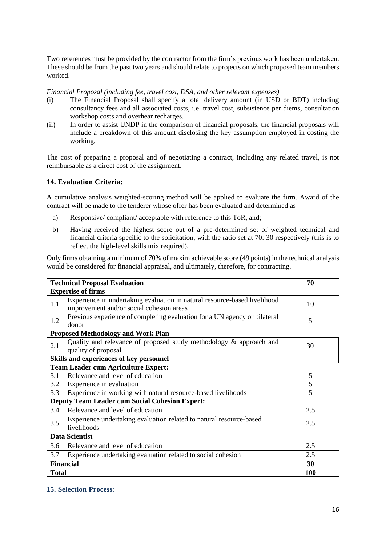Two references must be provided by the contractor from the firm's previous work has been undertaken. These should be from the past two years and should relate to projects on which proposed team members worked.

#### *Financial Proposal (including fee, travel cost, DSA, and other relevant expenses)*

- (i) The Financial Proposal shall specify a total delivery amount (in USD or BDT) including consultancy fees and all associated costs, i.e. travel cost, subsistence per diems, consultation workshop costs and overhear recharges.
- (ii) In order to assist UNDP in the comparison of financial proposals, the financial proposals will include a breakdown of this amount disclosing the key assumption employed in costing the working.

The cost of preparing a proposal and of negotiating a contract, including any related travel, is not reimbursable as a direct cost of the assignment.

#### **14. Evaluation Criteria:**

A cumulative analysis weighted-scoring method will be applied to evaluate the firm. Award of the contract will be made to the tenderer whose offer has been evaluated and determined as

- a) Responsive/ compliant/ acceptable with reference to this ToR, and;
- b) Having received the highest score out of a pre-determined set of weighted technical and financial criteria specific to the solicitation, with the ratio set at 70: 30 respectively (this is to reflect the high-level skills mix required).

Only firms obtaining a minimum of 70% of maxim achievable score (49 points) in the technical analysis would be considered for financial appraisal, and ultimately, therefore, for contracting.

|              | <b>Technical Proposal Evaluation</b>                                                                                  | 70  |  |  |  |  |
|--------------|-----------------------------------------------------------------------------------------------------------------------|-----|--|--|--|--|
|              | <b>Expertise of firms</b>                                                                                             |     |  |  |  |  |
| 1.1          | Experience in undertaking evaluation in natural resource-based livelihood<br>improvement and/or social cohesion areas | 10  |  |  |  |  |
| 1.2          | Previous experience of completing evaluation for a UN agency or bilateral<br>5<br>donor                               |     |  |  |  |  |
|              | <b>Proposed Methodology and Work Plan</b>                                                                             |     |  |  |  |  |
| 2.1          | Quality and relevance of proposed study methodology & approach and<br>quality of proposal                             | 30  |  |  |  |  |
|              | Skills and experiences of key personnel                                                                               |     |  |  |  |  |
|              | <b>Team Leader cum Agriculture Expert:</b>                                                                            |     |  |  |  |  |
| 3.1          | Relevance and level of education                                                                                      | 5   |  |  |  |  |
| 3.2          | Experience in evaluation                                                                                              | 5   |  |  |  |  |
| 3.3          | 5<br>Experience in working with natural resource-based livelihoods                                                    |     |  |  |  |  |
|              | <b>Deputy Team Leader cum Social Cohesion Expert:</b>                                                                 |     |  |  |  |  |
| 3.4          | Relevance and level of education                                                                                      | 2.5 |  |  |  |  |
| 3.5          | Experience undertaking evaluation related to natural resource-based<br>livelihoods                                    | 2.5 |  |  |  |  |
|              | <b>Data Scientist</b>                                                                                                 |     |  |  |  |  |
| 3.6          | Relevance and level of education                                                                                      | 2.5 |  |  |  |  |
| 3.7          | Experience undertaking evaluation related to social cohesion                                                          | 2.5 |  |  |  |  |
|              | <b>Financial</b>                                                                                                      | 30  |  |  |  |  |
| <b>Total</b> |                                                                                                                       | 100 |  |  |  |  |

## **15. Selection Process:**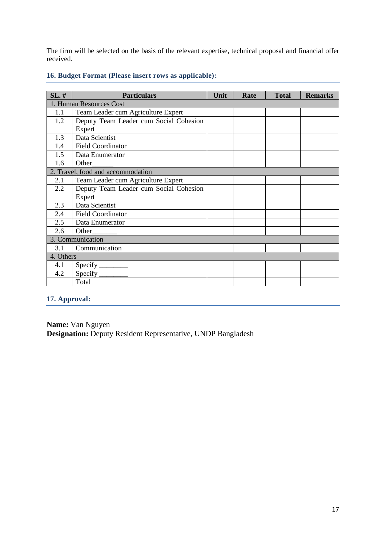The firm will be selected on the basis of the relevant expertise, technical proposal and financial offer received.

| $SL.$ #                 | <b>Particulars</b>                     | Unit | Rate | <b>Total</b> | <b>Remarks</b> |  |  |
|-------------------------|----------------------------------------|------|------|--------------|----------------|--|--|
| 1. Human Resources Cost |                                        |      |      |              |                |  |  |
| 1.1                     | Team Leader cum Agriculture Expert     |      |      |              |                |  |  |
| 1.2                     | Deputy Team Leader cum Social Cohesion |      |      |              |                |  |  |
|                         | Expert                                 |      |      |              |                |  |  |
| 1.3                     | Data Scientist                         |      |      |              |                |  |  |
| 1.4                     | <b>Field Coordinator</b>               |      |      |              |                |  |  |
| 1.5                     | Data Enumerator                        |      |      |              |                |  |  |
| 1.6                     | Other                                  |      |      |              |                |  |  |
|                         | 2. Travel, food and accommodation      |      |      |              |                |  |  |
| 2.1                     | Team Leader cum Agriculture Expert     |      |      |              |                |  |  |
| 2.2                     | Deputy Team Leader cum Social Cohesion |      |      |              |                |  |  |
|                         | Expert                                 |      |      |              |                |  |  |
| 2.3                     | Data Scientist                         |      |      |              |                |  |  |
| 2.4                     | <b>Field Coordinator</b>               |      |      |              |                |  |  |
| 2.5                     | Data Enumerator                        |      |      |              |                |  |  |
| 2.6                     | Other                                  |      |      |              |                |  |  |
|                         | 3. Communication                       |      |      |              |                |  |  |
| 3.1                     | Communication                          |      |      |              |                |  |  |
| 4. Others               |                                        |      |      |              |                |  |  |
| 4.1                     | Specify $\_\$                          |      |      |              |                |  |  |
| 4.2                     | $Specify_$                             |      |      |              |                |  |  |
|                         | Total                                  |      |      |              |                |  |  |

## **16. Budget Format (Please insert rows as applicable):**

# **17. Approval:**

**Name:** Van Nguyen **Designation:** Deputy Resident Representative, UNDP Bangladesh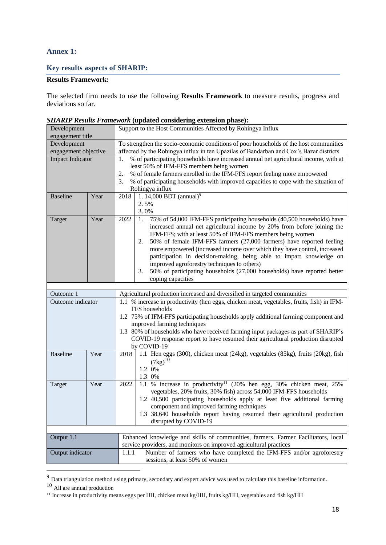## **Annex 1:**

## **Key results aspects of SHARIP:**

## **Results Framework:**

The selected firm needs to use the following **Results Framework** to measure results, progress and deviations so far.

|                         |      | $binmit$ Results Framework (updated considering extension phase).                          |  |  |  |  |
|-------------------------|------|--------------------------------------------------------------------------------------------|--|--|--|--|
| Development             |      | Support to the Host Communities Affected by Rohingya Influx                                |  |  |  |  |
| engagement title        |      |                                                                                            |  |  |  |  |
| Development             |      | To strengthen the socio-economic conditions of poor households of the host communities     |  |  |  |  |
| engagement objective    |      | affected by the Rohingya influx in ten Upazilas of Bandarban and Cox's Bazar districts     |  |  |  |  |
| <b>Impact Indicator</b> |      | % of participating households have increased annual net agricultural income, with at<br>1. |  |  |  |  |
|                         |      | least 50% of IFM-FFS members being women                                                   |  |  |  |  |
|                         |      | 2.<br>% of female farmers enrolled in the IFM-FFS report feeling more empowered            |  |  |  |  |
|                         |      |                                                                                            |  |  |  |  |
|                         |      | % of participating households with improved capacities to cope with the situation of<br>3. |  |  |  |  |
|                         |      | Rohingya influx                                                                            |  |  |  |  |
| <b>Baseline</b>         | Year | 1. 14,000 BDT (annual) <sup>9</sup><br>2018                                                |  |  |  |  |
|                         |      | 2.5%                                                                                       |  |  |  |  |
|                         |      | 3.0%                                                                                       |  |  |  |  |
| Target                  | Year | 2022<br>75% of 54,000 IFM-FFS participating households (40,500 households) have<br>1.      |  |  |  |  |
|                         |      | increased annual net agricultural income by 20% from before joining the                    |  |  |  |  |
|                         |      | IFM-FFS; with at least 50% of IFM-FFS members being women                                  |  |  |  |  |
|                         |      |                                                                                            |  |  |  |  |
|                         |      | 50% of female IFM-FFS farmers (27,000 farmers) have reported feeling<br>2.                 |  |  |  |  |
|                         |      | more empowered (increased income over which they have control, increased                   |  |  |  |  |
|                         |      | participation in decision-making, being able to impart knowledge on                        |  |  |  |  |
|                         |      | improved agroforestry techniques to others)                                                |  |  |  |  |
|                         |      | 50% of participating households (27,000 households) have reported better<br>3.             |  |  |  |  |
|                         |      | coping capacities                                                                          |  |  |  |  |
|                         |      |                                                                                            |  |  |  |  |
| Outcome 1               |      | Agricultural production increased and diversified in targeted communities                  |  |  |  |  |
| Outcome indicator       |      | 1.1 % increase in productivity (hen eggs, chicken meat, vegetables, fruits, fish) in IFM-  |  |  |  |  |
|                         |      | FFS households                                                                             |  |  |  |  |
|                         |      | 1.2 75% of IFM-FFS participating households apply additional farming component and         |  |  |  |  |
|                         |      | improved farming techniques                                                                |  |  |  |  |
|                         |      |                                                                                            |  |  |  |  |
|                         |      | 1.3 80% of households who have received farming input packages as part of SHARIP's         |  |  |  |  |
|                         |      | COVID-19 response report to have resumed their agricultural production disrupted           |  |  |  |  |
|                         |      | by COVID-19                                                                                |  |  |  |  |
| <b>Baseline</b>         | Year | 1.1 Hen eggs (300), chicken meat (24kg), vegetables (85kg), fruits (20kg), fish<br>2018    |  |  |  |  |
|                         |      | $(7kg)^{10}$                                                                               |  |  |  |  |
|                         |      | 1.2 0%                                                                                     |  |  |  |  |
|                         |      | 1.3 0%                                                                                     |  |  |  |  |
| Target                  | Year | 1.1 % increase in productivity <sup>11</sup> (20% hen egg, 30% chicken meat, 25%<br>2022   |  |  |  |  |
|                         |      | vegetables, 20% fruits, 30% fish) across 54,000 IFM-FFS households                         |  |  |  |  |
|                         |      |                                                                                            |  |  |  |  |
|                         |      | 1.2 40,500 participating households apply at least five additional farming                 |  |  |  |  |
|                         |      | component and improved farming techniques                                                  |  |  |  |  |
|                         |      | 1.3 38,640 households report having resumed their agricultural production                  |  |  |  |  |
|                         |      | disrupted by COVID-19                                                                      |  |  |  |  |
|                         |      |                                                                                            |  |  |  |  |
| Output 1.1              |      | Enhanced knowledge and skills of communities, farmers, Farmer Facilitators, local          |  |  |  |  |
|                         |      | service providers, and monitors on improved agricultural practices                         |  |  |  |  |
| Output indicator        |      | Number of farmers who have completed the IFM-FFS and/or agroforestry<br>1.1.1              |  |  |  |  |
|                         |      |                                                                                            |  |  |  |  |
|                         |      | sessions, at least 50% of women                                                            |  |  |  |  |

*SHARIP Results Framework* **(updated considering extension phase):**

 $9<sup>9</sup>$  Data triangulation method using primary, secondary and expert advice was used to calculate this baseline information.

<sup>10</sup> All are annual production

<sup>&</sup>lt;sup>11</sup> Increase in productivity means eggs per HH, chicken meat kg/HH, fruits kg/HH, vegetables and fish kg/HH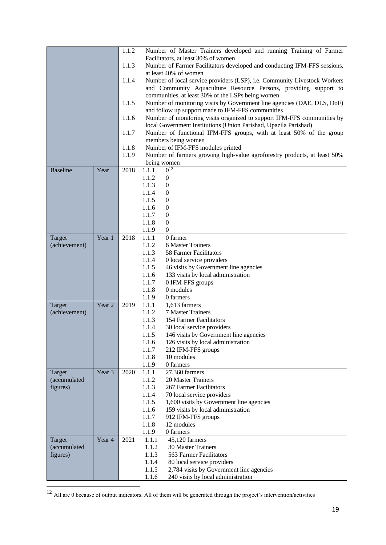|                 |                   | 1.1.2 |                                                                                                                              | Number of Master Trainers developed and running Training of Farmer        |  |  |  |
|-----------------|-------------------|-------|------------------------------------------------------------------------------------------------------------------------------|---------------------------------------------------------------------------|--|--|--|
|                 |                   |       |                                                                                                                              | Facilitators, at least 30% of women                                       |  |  |  |
|                 |                   | 1.1.3 |                                                                                                                              | Number of Farmer Facilitators developed and conducting IFM-FFS sessions,  |  |  |  |
|                 |                   |       |                                                                                                                              | at least 40% of women                                                     |  |  |  |
|                 |                   | 1.1.4 |                                                                                                                              | Number of local service providers (LSP), i.e. Community Livestock Workers |  |  |  |
|                 |                   |       | and Community Aquaculture Resource Persons, providing support to                                                             |                                                                           |  |  |  |
|                 |                   | 1.1.5 | communities, at least 30% of the LSPs being women<br>Number of monitoring visits by Government line agencies (DAE, DLS, DoF) |                                                                           |  |  |  |
|                 |                   |       | and follow up support made to IFM-FFS communities                                                                            |                                                                           |  |  |  |
|                 |                   | 1.1.6 |                                                                                                                              | Number of monitoring visits organized to support IFM-FFS communities by   |  |  |  |
|                 |                   |       |                                                                                                                              | local Government Institutions (Union Parishad, Upazila Parishad)          |  |  |  |
|                 |                   | 1.1.7 | Number of functional IFM-FFS groups, with at least 50% of the group                                                          |                                                                           |  |  |  |
|                 |                   |       | members being women                                                                                                          |                                                                           |  |  |  |
|                 |                   | 1.1.8 |                                                                                                                              | Number of IFM-FFS modules printed                                         |  |  |  |
|                 |                   | 1.1.9 |                                                                                                                              | Number of farmers growing high-value agroforestry products, at least 50%  |  |  |  |
| <b>Baseline</b> | Year              | 2018  |                                                                                                                              | being women<br>$0^{12}$                                                   |  |  |  |
|                 |                   |       | 1.1.1<br>1.1.2                                                                                                               | $\boldsymbol{0}$                                                          |  |  |  |
|                 |                   |       | 1.1.3                                                                                                                        | $\boldsymbol{0}$                                                          |  |  |  |
|                 |                   |       | 1.1.4                                                                                                                        | $\boldsymbol{0}$                                                          |  |  |  |
|                 |                   |       | 1.1.5                                                                                                                        | $\boldsymbol{0}$                                                          |  |  |  |
|                 |                   |       | 1.1.6                                                                                                                        | $\boldsymbol{0}$                                                          |  |  |  |
|                 |                   |       | 1.1.7                                                                                                                        | $\overline{0}$                                                            |  |  |  |
|                 |                   |       | 1.1.8                                                                                                                        | $\boldsymbol{0}$                                                          |  |  |  |
|                 |                   |       | 1.1.9                                                                                                                        | $\boldsymbol{0}$                                                          |  |  |  |
| Target          | Year 1            | 2018  | 1.1.1                                                                                                                        | 0 farmer                                                                  |  |  |  |
| (achievement)   |                   |       | 1.1.2                                                                                                                        | <b>6 Master Trainers</b>                                                  |  |  |  |
|                 |                   |       | 1.1.3                                                                                                                        | 58 Farmer Facilitators                                                    |  |  |  |
|                 |                   |       | 1.1.4<br>1.1.5                                                                                                               | 0 local service providers<br>46 visits by Government line agencies        |  |  |  |
|                 |                   |       | 1.1.6                                                                                                                        | 133 visits by local administration                                        |  |  |  |
|                 |                   |       | 1.1.7                                                                                                                        | 0 IFM-FFS groups                                                          |  |  |  |
|                 |                   |       | 1.1.8                                                                                                                        | 0 modules                                                                 |  |  |  |
|                 |                   |       | 1.1.9                                                                                                                        | 0 farmers                                                                 |  |  |  |
| Target          | Year <sub>2</sub> | 2019  | 1.1.1                                                                                                                        | 1,613 farmers                                                             |  |  |  |
| (achievement)   |                   |       | 1.1.2                                                                                                                        | 7 Master Trainers                                                         |  |  |  |
|                 |                   |       | 1.1.3                                                                                                                        | 154 Farmer Facilitators                                                   |  |  |  |
|                 |                   |       | 1.1.4                                                                                                                        | 30 local service providers                                                |  |  |  |
|                 |                   |       | 1.1.5<br>1.1.6                                                                                                               | 146 visits by Government line agencies                                    |  |  |  |
|                 |                   |       | 1.1.7                                                                                                                        | 126 visits by local administration<br>212 IFM-FFS groups                  |  |  |  |
|                 |                   |       | 1.1.8                                                                                                                        | 10 modules                                                                |  |  |  |
|                 |                   |       | 1.1.9                                                                                                                        | 0 farmers                                                                 |  |  |  |
| Target          | Year <sub>3</sub> | 2020  | 1.1.1                                                                                                                        | 27,360 farmers                                                            |  |  |  |
| (accumulated    |                   |       | 1.1.2                                                                                                                        | 20 Master Trainers                                                        |  |  |  |
| figures)        |                   |       | 1.1.3                                                                                                                        | 267 Farmer Facilitators                                                   |  |  |  |
|                 |                   |       | 1.1.4                                                                                                                        | 70 local service providers                                                |  |  |  |
|                 |                   |       | 1.1.5                                                                                                                        | 1,600 visits by Government line agencies                                  |  |  |  |
|                 |                   |       | 1.1.6                                                                                                                        | 159 visits by local administration                                        |  |  |  |
|                 |                   |       | 1.1.7<br>1.1.8                                                                                                               | 912 IFM-FFS groups<br>12 modules                                          |  |  |  |
|                 |                   |       | 1.1.9                                                                                                                        | 0 farmers                                                                 |  |  |  |
| Target          | Year 4            | 2021  | 1.1.1                                                                                                                        | 45,120 farmers                                                            |  |  |  |
| (accumulated    |                   |       | 1.1.2                                                                                                                        | <b>30 Master Trainers</b>                                                 |  |  |  |
| figures)        |                   |       | 1.1.3                                                                                                                        | 563 Farmer Facilitators                                                   |  |  |  |
|                 |                   |       | 1.1.4                                                                                                                        | 80 local service providers                                                |  |  |  |
|                 |                   |       | 1.1.5                                                                                                                        | 2,784 visits by Government line agencies                                  |  |  |  |
|                 |                   |       | 1.1.6                                                                                                                        | 240 visits by local administration                                        |  |  |  |

 $\frac{12}{12}$  All are 0 because of output indicators. All of them will be generated through the project's intervention/activities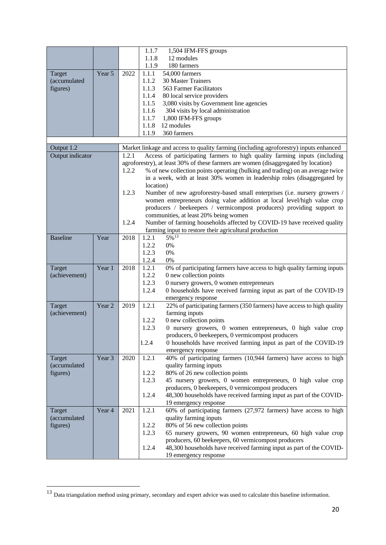|                  |                   |       | 1.1.7     | 1,504 IFM-FFS groups                                                                  |
|------------------|-------------------|-------|-----------|---------------------------------------------------------------------------------------|
|                  |                   |       | 1.1.8     | 12 modules                                                                            |
|                  |                   |       | 1.1.9     | 180 farmers                                                                           |
| Target           | Year 5            | 2022  | 1.1.1     | 54,000 farmers                                                                        |
| (accumulated     |                   |       | 1.1.2     | <b>30 Master Trainers</b>                                                             |
|                  |                   |       |           | 563 Farmer Facilitators                                                               |
| figures)         |                   |       | 1.1.3     |                                                                                       |
|                  |                   |       | 1.1.4     | 80 local service providers                                                            |
|                  |                   |       | 1.1.5     | 3,080 visits by Government line agencies                                              |
|                  |                   |       | 1.1.6     | 304 visits by local administration                                                    |
|                  |                   |       | 1.1.7     | 1,800 IFM-FFS groups                                                                  |
|                  |                   |       | 1.1.8     | 12 modules                                                                            |
|                  |                   |       | 1.1.9     | 360 farmers                                                                           |
|                  |                   |       |           |                                                                                       |
| Output 1.2       |                   |       |           | Market linkage and access to quality farming (including agroforestry) inputs enhanced |
| Output indicator |                   | 1.2.1 |           | Access of participating farmers to high quality farming inputs (including             |
|                  |                   |       |           | agroforestry), at least 30% of these farmers are women (disaggregated by location)    |
|                  |                   | 1.2.2 |           | % of new collection points operating (bulking and trading) on an average twice        |
|                  |                   |       |           | in a week, with at least 30% women in leadership roles (disaggregated by              |
|                  |                   |       | location) |                                                                                       |
|                  |                   | 1.2.3 |           | Number of new agroforestry-based small enterprises (i.e. nursery growers /            |
|                  |                   |       |           | women entrepreneurs doing value addition at local level/high value crop               |
|                  |                   |       |           | producers / beekeepers / vermicompost producers) providing support to                 |
|                  |                   |       |           | communities, at least 20% being women                                                 |
|                  |                   | 1.2.4 |           | Number of farming households affected by COVID-19 have received quality               |
|                  |                   |       |           | farming input to restore their agricultural production                                |
| <b>Baseline</b>  | Year              | 2018  | 1.2.1     | 5%13                                                                                  |
|                  |                   |       | 1.2.2     | $0\%$                                                                                 |
|                  |                   |       | 1.2.3     | $0\%$                                                                                 |
|                  |                   |       | 1.2.4     | 0%                                                                                    |
| Target           | Year 1            | 2018  | 1.2.1     | 0% of participating farmers have access to high quality farming inputs                |
| (achievement)    |                   |       | 1.2.2     | 0 new collection points                                                               |
|                  |                   |       | 1.2.3     | 0 nursery growers, 0 women entrepreneurs                                              |
|                  |                   |       | 1.2.4     | 0 households have received farming input as part of the COVID-19                      |
|                  |                   |       |           | emergency response                                                                    |
| Target           | Year <sub>2</sub> | 2019  | 1.2.1     | 22% of participating farmers (350 farmers) have access to high quality                |
| (achievement)    |                   |       |           | farming inputs                                                                        |
|                  |                   |       | 1.2.2     | 0 new collection points                                                               |
|                  |                   |       | 1.2.3     | 0 nursery growers, 0 women entrepreneurs, 0 high value crop                           |
|                  |                   |       |           | producers, 0 beekeepers, 0 vermicompost producers                                     |
|                  |                   |       | 1.2.4     | 0 households have received farming input as part of the COVID-19                      |
|                  |                   |       |           | emergency response                                                                    |
| Target           | Year 3            | 2020  | 1.2.1     | 40% of participating farmers (10,944 farmers) have access to high                     |
| (accumulated     |                   |       |           | quality farming inputs                                                                |
| figures)         |                   |       | 1.2.2     | 80% of 26 new collection points                                                       |
|                  |                   |       | 1.2.3     | 45 nursery growers, 0 women entrepreneurs, 0 high value crop                          |
|                  |                   |       |           | producers, 0 beekeepers, 0 vermicompost producers                                     |
|                  |                   |       | 1.2.4     | 48,300 households have received farming input as part of the COVID-                   |
|                  |                   |       |           | 19 emergency response                                                                 |
| Target           | Year 4            | 2021  | 1.2.1     | $60\%$ of participating farmers (27,972 farmers) have access to high                  |
| (accumulated     |                   |       |           | quality farming inputs                                                                |
| figures)         |                   |       | 1.2.2     | 80% of 56 new collection points                                                       |
|                  |                   |       |           | 65 nursery growers, 90 women entrepreneurs, 60 high value crop                        |
|                  |                   |       | 1.2.3     |                                                                                       |
|                  |                   |       |           | producers, 60 beekeepers, 60 vermicompost producers                                   |
|                  |                   |       | 1.2.4     | 48,300 households have received farming input as part of the COVID-                   |
|                  |                   |       |           | 19 emergency response                                                                 |

<sup>&</sup>lt;sup>13</sup> Data triangulation method using primary, secondary and expert advice was used to calculate this baseline information.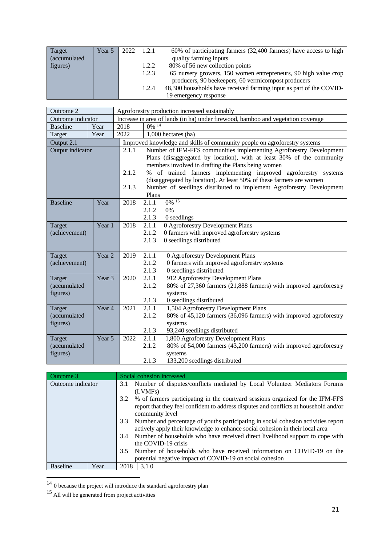| Target       | Year 5 | 2022 | 1.2.1                  | 60% of participating farmers (32,400 farmers) have access to high   |  |  |
|--------------|--------|------|------------------------|---------------------------------------------------------------------|--|--|
| (accumulated |        |      | quality farming inputs |                                                                     |  |  |
| figures)     |        |      | 1.2.2                  | 80% of 56 new collection points                                     |  |  |
|              |        |      | 1.2.3                  | 65 nursery growers, 150 women entrepreneurs, 90 high value crop     |  |  |
|              |        |      |                        | producers, 90 beekeepers, 60 vermicompost producers                 |  |  |
|              |        |      | 1.2.4                  | 48,300 households have received farming input as part of the COVID- |  |  |
|              |        |      |                        | 19 emergency response                                               |  |  |

| Outcome 2         |                   | Agroforestry production increased sustainably                                    |                                                                                                                                                                                                                                                                                                                                                                                                                                 |  |  |  |
|-------------------|-------------------|----------------------------------------------------------------------------------|---------------------------------------------------------------------------------------------------------------------------------------------------------------------------------------------------------------------------------------------------------------------------------------------------------------------------------------------------------------------------------------------------------------------------------|--|--|--|
| Outcome indicator |                   | Increase in area of lands (in ha) under firewood, bamboo and vegetation coverage |                                                                                                                                                                                                                                                                                                                                                                                                                                 |  |  |  |
| <b>Baseline</b>   | Year              | 0% 14<br>2018                                                                    |                                                                                                                                                                                                                                                                                                                                                                                                                                 |  |  |  |
| Target            | Year              | 2022<br>1,000 hectares (ha)                                                      |                                                                                                                                                                                                                                                                                                                                                                                                                                 |  |  |  |
| Output 2.1        |                   |                                                                                  | Improved knowledge and skills of community people on agroforestry systems                                                                                                                                                                                                                                                                                                                                                       |  |  |  |
| Output indicator  |                   | 2.1.1<br>2.1.2<br>2.1.3                                                          | Number of IFM-FFS communities implementing Agroforestry Development<br>Plans (disaggregated by location), with at least 30% of the community<br>members involved in drafting the Plans being women<br>% of trained farmers implementing improved agroforestry systems<br>(disaggregated by location). At least 50% of these farmers are women<br>Number of seedlings distributed to implement Agroforestry Development<br>Plans |  |  |  |
| <b>Baseline</b>   | Year              | 2018                                                                             | $0\frac{ }{6}$ <sup>15</sup><br>2.1.1<br>2.1.2<br>0%                                                                                                                                                                                                                                                                                                                                                                            |  |  |  |
|                   |                   |                                                                                  | 2.1.3<br>0 seedlings                                                                                                                                                                                                                                                                                                                                                                                                            |  |  |  |
| Target            | Year 1            | 2018                                                                             | 0 Agroforestry Development Plans<br>2.1.1                                                                                                                                                                                                                                                                                                                                                                                       |  |  |  |
| (achievement)     |                   |                                                                                  | 2.1.2<br>0 farmers with improved agroforestry systems                                                                                                                                                                                                                                                                                                                                                                           |  |  |  |
|                   |                   |                                                                                  | 2.1.3<br>0 seedlings distributed                                                                                                                                                                                                                                                                                                                                                                                                |  |  |  |
| Target            | Year <sub>2</sub> | 2019                                                                             | 2.1.1<br>0 Agroforestry Development Plans                                                                                                                                                                                                                                                                                                                                                                                       |  |  |  |
| (achievement)     |                   |                                                                                  | 2.1.2<br>0 farmers with improved agroforestry systems                                                                                                                                                                                                                                                                                                                                                                           |  |  |  |
|                   |                   |                                                                                  | 0 seedlings distributed<br>2.1.3                                                                                                                                                                                                                                                                                                                                                                                                |  |  |  |
| Target            | Year 3            | 2020                                                                             | 2.1.1<br>912 Agroforestry Development Plans                                                                                                                                                                                                                                                                                                                                                                                     |  |  |  |
| (accumulated      |                   |                                                                                  | 2.1.2<br>80% of 27,360 farmers (21,888 farmers) with improved agroforestry                                                                                                                                                                                                                                                                                                                                                      |  |  |  |
| figures)          |                   |                                                                                  | systems                                                                                                                                                                                                                                                                                                                                                                                                                         |  |  |  |
| Target            | Year 4            | 2021                                                                             | 2.1.3<br>0 seedlings distributed<br>1,504 Agroforestry Development Plans<br>2.1.1                                                                                                                                                                                                                                                                                                                                               |  |  |  |
| (accumulated      |                   |                                                                                  | 80% of 45,120 farmers (36,096 farmers) with improved agroforestry<br>2.1.2                                                                                                                                                                                                                                                                                                                                                      |  |  |  |
| figures)          |                   |                                                                                  | systems                                                                                                                                                                                                                                                                                                                                                                                                                         |  |  |  |
|                   |                   |                                                                                  | 2.1.3<br>93,240 seedlings distributed                                                                                                                                                                                                                                                                                                                                                                                           |  |  |  |
| Target            | Year 5            | 2022                                                                             | 1,800 Agroforestry Development Plans<br>2.1.1                                                                                                                                                                                                                                                                                                                                                                                   |  |  |  |
| (accumulated      |                   |                                                                                  | 2.1.2<br>80% of 54,000 farmers (43,200 farmers) with improved agroforestry                                                                                                                                                                                                                                                                                                                                                      |  |  |  |
| figures)          |                   |                                                                                  | systems                                                                                                                                                                                                                                                                                                                                                                                                                         |  |  |  |
|                   |                   |                                                                                  | 133,200 seedlings distributed<br>2.1.3                                                                                                                                                                                                                                                                                                                                                                                          |  |  |  |

| Outcome 3               | Social cohesion increased                                                                                                                                                                          |  |  |  |
|-------------------------|----------------------------------------------------------------------------------------------------------------------------------------------------------------------------------------------------|--|--|--|
| Outcome indicator       | 3.1 Number of disputes/conflicts mediated by Local Volunteer Mediators Forums<br>(LVMFs)                                                                                                           |  |  |  |
|                         | % of farmers participating in the courty and sessions organized for the IFM-FFS<br>3.2<br>report that they feel confident to address disputes and conflicts at household and/or<br>community level |  |  |  |
|                         | Number and percentage of youths participating in social cohesion activities report<br>3.3<br>actively apply their knowledge to enhance social cohesion in their local area                         |  |  |  |
|                         | 3.4 Number of households who have received direct livelihood support to cope with<br>the COVID-19 crisis                                                                                           |  |  |  |
|                         | Number of households who have received information on COVID-19 on the<br>3.5<br>potential negative impact of COVID-19 on social cohesion                                                           |  |  |  |
| <b>Baseline</b><br>Year | 3.10<br>2018                                                                                                                                                                                       |  |  |  |
|                         |                                                                                                                                                                                                    |  |  |  |

 $14$  0 because the project will introduce the standard agroforestry plan

<sup>&</sup>lt;sup>15</sup> All will be generated from project activities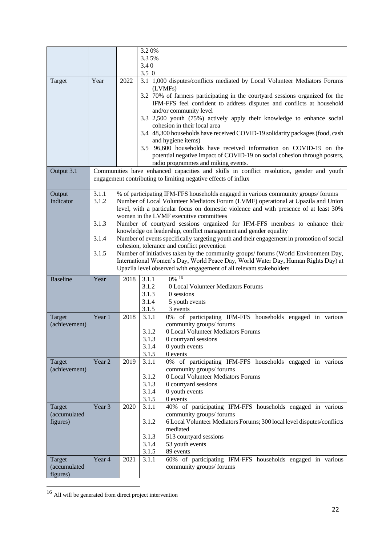|                 |                                                                     |      | 3.20%                                                                                                                 |                                                                                          |  |  |  |  |  |
|-----------------|---------------------------------------------------------------------|------|-----------------------------------------------------------------------------------------------------------------------|------------------------------------------------------------------------------------------|--|--|--|--|--|
|                 |                                                                     |      | 3.35%                                                                                                                 |                                                                                          |  |  |  |  |  |
|                 |                                                                     |      | 3.40                                                                                                                  |                                                                                          |  |  |  |  |  |
|                 |                                                                     |      | $3.5 \ 0$                                                                                                             |                                                                                          |  |  |  |  |  |
| Target          | Year                                                                | 2022 | 3.1 1,000 disputes/conflicts mediated by Local Volunteer Mediators Forums                                             |                                                                                          |  |  |  |  |  |
|                 |                                                                     |      | (LVMFs)                                                                                                               |                                                                                          |  |  |  |  |  |
|                 |                                                                     |      | 3.2 70% of farmers participating in the courty and sessions organized for the                                         |                                                                                          |  |  |  |  |  |
|                 |                                                                     |      | IFM-FFS feel confident to address disputes and conflicts at household                                                 |                                                                                          |  |  |  |  |  |
|                 |                                                                     |      | and/or community level                                                                                                |                                                                                          |  |  |  |  |  |
|                 |                                                                     |      | 3.3 2,500 youth (75%) actively apply their knowledge to enhance social                                                |                                                                                          |  |  |  |  |  |
|                 |                                                                     |      | cohesion in their local area                                                                                          |                                                                                          |  |  |  |  |  |
|                 |                                                                     |      | 3.4 48,300 households have received COVID-19 solidarity packages (food, cash                                          |                                                                                          |  |  |  |  |  |
|                 |                                                                     |      | and hygiene items)                                                                                                    |                                                                                          |  |  |  |  |  |
|                 |                                                                     |      | 3.5 96,600 households have received information on COVID-19 on the                                                    |                                                                                          |  |  |  |  |  |
|                 |                                                                     |      | potential negative impact of COVID-19 on social cohesion through posters,                                             |                                                                                          |  |  |  |  |  |
|                 |                                                                     |      |                                                                                                                       | radio programmes and miking events.                                                      |  |  |  |  |  |
| Output 3.1      |                                                                     |      |                                                                                                                       | Communities have enhanced capacities and skills in conflict resolution, gender and youth |  |  |  |  |  |
|                 |                                                                     |      |                                                                                                                       | engagement contributing to limiting negative effects of influx                           |  |  |  |  |  |
|                 |                                                                     |      |                                                                                                                       |                                                                                          |  |  |  |  |  |
| Output          | 3.1.1                                                               |      |                                                                                                                       | % of participating IFM-FFS households engaged in various community groups/forums         |  |  |  |  |  |
| Indicator       | 3.1.2                                                               |      |                                                                                                                       | Number of Local Volunteer Mediators Forum (LVMF) operational at Upazila and Union        |  |  |  |  |  |
|                 |                                                                     |      |                                                                                                                       | level, with a particular focus on domestic violence and with presence of at least 30%    |  |  |  |  |  |
|                 | 3.1.3                                                               |      | women in the LVMF executive committees<br>Number of courtyard sessions organized for IFM-FFS members to enhance their |                                                                                          |  |  |  |  |  |
|                 |                                                                     |      | knowledge on leadership, conflict management and gender equality                                                      |                                                                                          |  |  |  |  |  |
|                 | 3.1.4                                                               |      | Number of events specifically targeting youth and their engagement in promotion of social                             |                                                                                          |  |  |  |  |  |
|                 |                                                                     |      | cohesion, tolerance and conflict prevention                                                                           |                                                                                          |  |  |  |  |  |
|                 | 3.1.5                                                               |      | Number of initiatives taken by the community groups/forums (World Environment Day,                                    |                                                                                          |  |  |  |  |  |
|                 |                                                                     |      | International Women's Day, World Peace Day, World Water Day, Human Rights Day) at                                     |                                                                                          |  |  |  |  |  |
|                 | Upazila level observed with engagement of all relevant stakeholders |      |                                                                                                                       |                                                                                          |  |  |  |  |  |
| <b>Baseline</b> | Year                                                                | 2018 | 3.1.1                                                                                                                 | 0% 16                                                                                    |  |  |  |  |  |
|                 |                                                                     |      | 3.1.2                                                                                                                 | 0 Local Volunteer Mediators Forums                                                       |  |  |  |  |  |
|                 |                                                                     |      | 3.1.3                                                                                                                 | 0 sessions                                                                               |  |  |  |  |  |
|                 |                                                                     |      | 3.1.4                                                                                                                 | 5 youth events                                                                           |  |  |  |  |  |
|                 |                                                                     |      | 3.1.5                                                                                                                 | 3 events                                                                                 |  |  |  |  |  |
| Target          | Year 1                                                              | 2018 | 3.1.1                                                                                                                 | 0% of participating IFM-FFS households engaged in various                                |  |  |  |  |  |
| (achievement)   |                                                                     |      |                                                                                                                       | community groups/forums                                                                  |  |  |  |  |  |
|                 |                                                                     |      | 3.1.2                                                                                                                 | 0 Local Volunteer Mediators Forums                                                       |  |  |  |  |  |
|                 |                                                                     |      | 3.1.3                                                                                                                 | 0 courtyard sessions                                                                     |  |  |  |  |  |
|                 |                                                                     |      | 3.1.4<br>0 youth events                                                                                               |                                                                                          |  |  |  |  |  |
|                 |                                                                     |      | 3.1.5                                                                                                                 | 0 events                                                                                 |  |  |  |  |  |
| Target          | Year 2                                                              | 2019 | 3.1.1                                                                                                                 | 0% of participating IFM-FFS households engaged in various                                |  |  |  |  |  |
| (achievement)   |                                                                     |      |                                                                                                                       | community groups/forums                                                                  |  |  |  |  |  |
|                 |                                                                     |      | 3.1.2<br>3.1.3                                                                                                        | 0 Local Volunteer Mediators Forums                                                       |  |  |  |  |  |
|                 |                                                                     |      | 3.1.4                                                                                                                 | 0 courtyard sessions<br>0 youth events                                                   |  |  |  |  |  |
|                 |                                                                     |      | 3.1.5                                                                                                                 | 0 events                                                                                 |  |  |  |  |  |
| Target          | Year 3                                                              | 2020 | 3.1.1                                                                                                                 | 40% of participating IFM-FFS households engaged in various                               |  |  |  |  |  |
| (accumulated    |                                                                     |      |                                                                                                                       | community groups/forums                                                                  |  |  |  |  |  |
| figures)        |                                                                     |      | 3.1.2                                                                                                                 | 6 Local Volunteer Mediators Forums; 300 local level disputes/conflicts                   |  |  |  |  |  |
|                 |                                                                     |      |                                                                                                                       | mediated                                                                                 |  |  |  |  |  |
|                 |                                                                     |      | 3.1.3                                                                                                                 | 513 courtyard sessions                                                                   |  |  |  |  |  |
|                 |                                                                     |      | 3.1.4                                                                                                                 | 53 youth events                                                                          |  |  |  |  |  |
|                 |                                                                     |      | 3.1.5                                                                                                                 | 89 events                                                                                |  |  |  |  |  |
| Target          | Year 4                                                              | 2021 | 3.1.1                                                                                                                 | 60% of participating IFM-FFS households engaged in various                               |  |  |  |  |  |
| (accumulated    |                                                                     |      |                                                                                                                       | community groups/forums                                                                  |  |  |  |  |  |
| figures)        |                                                                     |      |                                                                                                                       |                                                                                          |  |  |  |  |  |

<sup>&</sup>lt;sup>16</sup> All will be generated from direct project intervention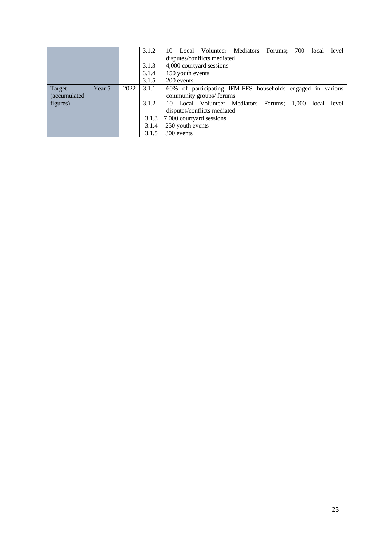|              |        |      | 3.1.2 | Local Volunteer Mediators<br>700<br>Forums:<br>10<br>local | level |  |  |  |  |  |  |
|--------------|--------|------|-------|------------------------------------------------------------|-------|--|--|--|--|--|--|
|              |        |      |       | disputes/conflicts mediated                                |       |  |  |  |  |  |  |
|              |        |      | 3.1.3 | 4,000 courtyard sessions                                   |       |  |  |  |  |  |  |
|              |        |      | 3.1.4 | 150 youth events                                           |       |  |  |  |  |  |  |
|              |        |      | 3.1.5 | 200 events                                                 |       |  |  |  |  |  |  |
| Target       | Year 5 | 2022 | 3.1.1 | 60% of participating IFM-FFS households engaged in various |       |  |  |  |  |  |  |
| (accumulated |        |      |       | community groups/forums                                    |       |  |  |  |  |  |  |
| figures)     |        |      | 3.1.2 | 10 Local Volunteer Mediators Forums; 1,000<br>local        | level |  |  |  |  |  |  |
|              |        |      |       | disputes/conflicts mediated                                |       |  |  |  |  |  |  |
|              |        |      | 3.1.3 | 7,000 courtyard sessions                                   |       |  |  |  |  |  |  |
|              |        |      | 3.1.4 | 250 youth events                                           |       |  |  |  |  |  |  |
|              |        |      | 3.1.5 | 300 events                                                 |       |  |  |  |  |  |  |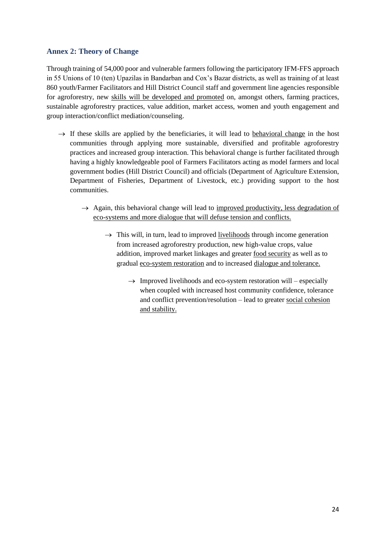# **Annex 2: Theory of Change**

Through training of 54,000 poor and vulnerable farmers following the participatory IFM-FFS approach in 55 Unions of 10 (ten) Upazilas in Bandarban and Cox's Bazar districts, as well as training of at least 860 youth/Farmer Facilitators and Hill District Council staff and government line agencies responsible for agroforestry, new skills will be developed and promoted on, amongst others, farming practices, sustainable agroforestry practices, value addition, market access, women and youth engagement and group interaction/conflict mediation/counseling.

- $\rightarrow$  If these skills are applied by the beneficiaries, it will lead to behavioral change in the host communities through applying more sustainable, diversified and profitable agroforestry practices and increased group interaction. This behavioral change is further facilitated through having a highly knowledgeable pool of Farmers Facilitators acting as model farmers and local government bodies (Hill District Council) and officials (Department of Agriculture Extension, Department of Fisheries, Department of Livestock, etc.) providing support to the host communities.
	- $\rightarrow$  Again, this behavioral change will lead to improved productivity, less degradation of eco-systems and more dialogue that will defuse tension and conflicts.
		- $\rightarrow$  This will, in turn, lead to improved <u>livelihoods</u> through income generation from increased agroforestry production, new high-value crops, value addition, improved market linkages and greater food security as well as to gradual eco-system restoration and to increased dialogue and tolerance.
			- $\rightarrow$  Improved livelihoods and eco-system restoration will especially when coupled with increased host community confidence, tolerance and conflict prevention/resolution – lead to greater social cohesion and stability.